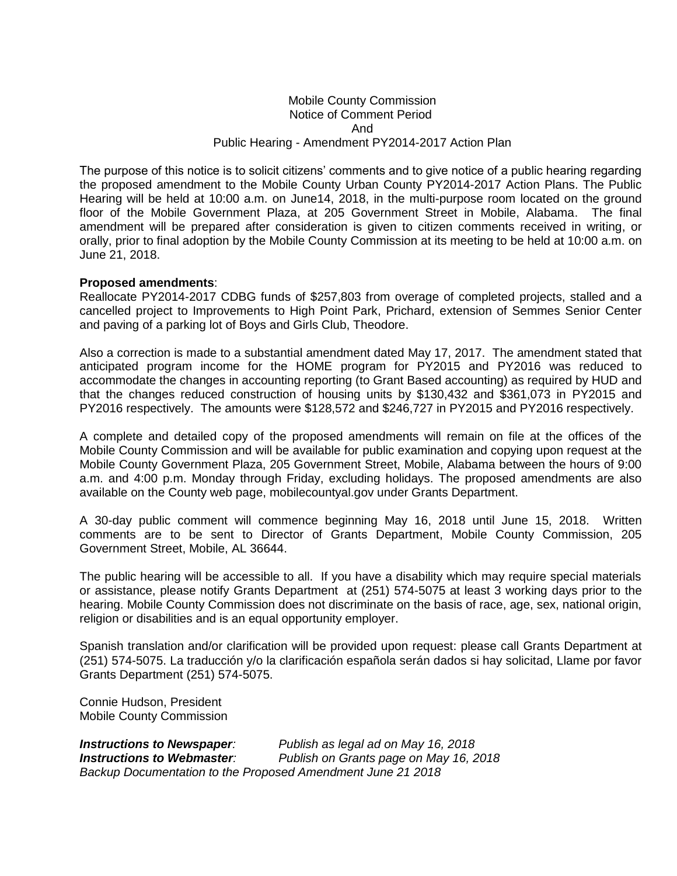## Mobile County Commission Notice of Comment Period And Public Hearing - Amendment PY2014-2017 Action Plan

The purpose of this notice is to solicit citizens' comments and to give notice of a public hearing regarding the proposed amendment to the Mobile County Urban County PY2014-2017 Action Plans. The Public Hearing will be held at 10:00 a.m. on June14, 2018, in the multi-purpose room located on the ground floor of the Mobile Government Plaza, at 205 Government Street in Mobile, Alabama. The final amendment will be prepared after consideration is given to citizen comments received in writing, or orally, prior to final adoption by the Mobile County Commission at its meeting to be held at 10:00 a.m. on June 21, 2018.

## **Proposed amendments**:

Reallocate PY2014-2017 CDBG funds of \$257,803 from overage of completed projects, stalled and a cancelled project to Improvements to High Point Park, Prichard, extension of Semmes Senior Center and paving of a parking lot of Boys and Girls Club, Theodore.

Also a correction is made to a substantial amendment dated May 17, 2017. The amendment stated that anticipated program income for the HOME program for PY2015 and PY2016 was reduced to accommodate the changes in accounting reporting (to Grant Based accounting) as required by HUD and that the changes reduced construction of housing units by \$130,432 and \$361,073 in PY2015 and PY2016 respectively. The amounts were \$128,572 and \$246,727 in PY2015 and PY2016 respectively.

A complete and detailed copy of the proposed amendments will remain on file at the offices of the Mobile County Commission and will be available for public examination and copying upon request at the Mobile County Government Plaza, 205 Government Street, Mobile, Alabama between the hours of 9:00 a.m. and 4:00 p.m. Monday through Friday, excluding holidays. The proposed amendments are also available on the County web page, mobilecountyal.gov under Grants Department.

A 30-day public comment will commence beginning May 16, 2018 until June 15, 2018. Written comments are to be sent to Director of Grants Department, Mobile County Commission, 205 Government Street, Mobile, AL 36644.

The public hearing will be accessible to all. If you have a disability which may require special materials or assistance, please notify Grants Department at (251) 574-5075 at least 3 working days prior to the hearing. Mobile County Commission does not discriminate on the basis of race, age, sex, national origin, religion or disabilities and is an equal opportunity employer.

Spanish translation and/or clarification will be provided upon request: please call Grants Department at (251) 574-5075. La traducción y/o la clarificación española serán dados si hay solicitad, Llame por favor Grants Department (251) 574-5075.

Connie Hudson, President Mobile County Commission

*Instructions to Newspaper: Publish as legal ad on May 16, 2018 Instructions to Webmaster: Publish on Grants page on May 16, 2018 Backup Documentation to the Proposed Amendment June 21 2018*